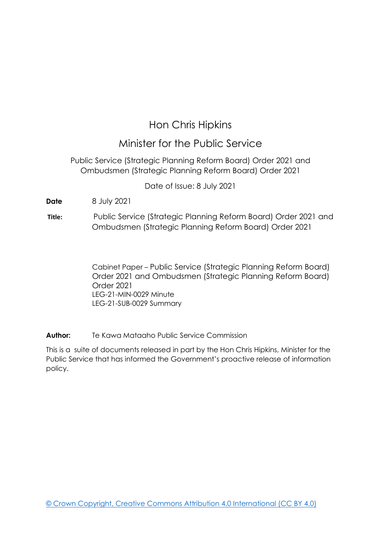# Hon Chris Hipkins

# Minister for the Public Service

Public Service (Strategic Planning Reform Board) Order 2021 and Ombudsmen (Strategic Planning Reform Board) Order 2021

Date of Issue: 8 July 2021

**Date** 8 July 2021

**Title:** Public Service (Strategic Planning Reform Board) Order 2021 and Ombudsmen (Strategic Planning Reform Board) Order 2021

> Cabinet Paper – Public Service (Strategic Planning Reform Board) Order 2021 and Ombudsmen (Strategic Planning Reform Board) Order 2021 LEG-21-MIN-0029 Minute LEG-21-SUB-0029 Summary

**Author:** Te Kawa Mataaho Public Service Commission

This is a suite of documents released in part by the Hon Chris Hipkins, Minister for the Public Service that has informed the Government's proactive release of information policy.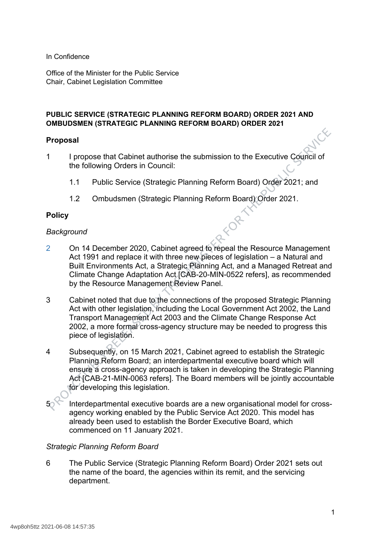In Confidence

Office of the Minister for the Public Service Chair, Cabinet Legislation Committee

#### **PUBLIC SERVICE (STRATEGIC PLANNING REFORM BOARD) ORDER 2021 AND OMBUDSMEN (STRATEGIC PLANNING REFORM BOARD) ORDER 2021**

#### **Proposal**

- 1 I propose that Cabinet authorise the submission to the Executive Council of the following Orders in Council:
	- 1.1 Public Service (Strategic Planning Reform Board) Order 2021; and
	- 1.2 Ombudsmen (Strategic Planning Reform Board) Order 2021.

#### **Policy**

#### *Background*

- 2 On 14 December 2020, Cabinet agreed to repeal the Resource Management Act 1991 and replace it with three new pieces of legislation – a Natural and Built Environments Act, a Strategic Planning Act, and a Managed Retreat and Climate Change Adaptation Act [CAB-20-MIN-0522 refers], as recommended by the Resource Management Review Panel.
- 3 Cabinet noted that due to the connections of the proposed Strategic Planning Act with other legislation, including the Local Government Act 2002, the Land Transport Management Act 2003 and the Climate Change Response Act 2002, a more formal cross-agency structure may be needed to progress this piece of legislation.
- 4 Subsequently, on 15 March 2021, Cabinet agreed to establish the Strategic Planning Reform Board; an interdepartmental executive board which will ensure a cross-agency approach is taken in developing the Strategic Planning Act [CAB-21-MIN-0063 refers]. The Board members will be jointly accountable for developing this legislation.
- Interdepartmental executive boards are a new organisational model for crossagency working enabled by the Public Service Act 2020. This model has already been used to establish the Border Executive Board, which commenced on 11 January 2021.

#### *Strategic Planning Reform Board*

6 The Public Service (Strategic Planning Reform Board) Order 2021 sets out the name of the board, the agencies within its remit, and the servicing department.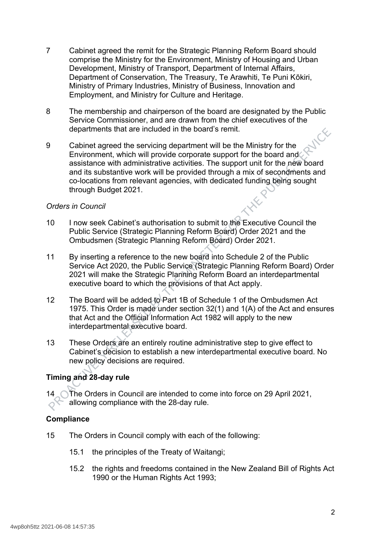- 7 Cabinet agreed the remit for the Strategic Planning Reform Board should comprise the Ministry for the Environment, Ministry of Housing and Urban Development, Ministry of Transport, Department of Internal Affairs, Department of Conservation, The Treasury, Te Arawhiti, Te Puni Kōkiri, Ministry of Primary Industries, Ministry of Business, Innovation and Employment, and Ministry for Culture and Heritage.
- 8 The membership and chairperson of the board are designated by the Public Service Commissioner, and are drawn from the chief executives of the departments that are included in the board's remit.<br>Cabinet agreed the servicing departments of the servicing departments of the servicing departments of departments that are included in the board's remit.
- 9 Cabinet agreed the servicing department will be the Ministry for the Environment, which will provide corporate support for the board and assistance with administrative activities. The support unit for the new board and its substantive work will be provided through a mix of secondments and co-locations from relevant agencies, with dedicated funding being sought through Budget 2021.

#### *Orders in Council*

- 10 I now seek Cabinet's authorisation to submit to the Executive Council the Public Service (Strategic Planning Reform Board) Order 2021 and the Ombudsmen (Strategic Planning Reform Board) Order 2021.
- 11 By inserting a reference to the new board into Schedule 2 of the Public Service Act 2020, the Public Service (Strategic Planning Reform Board) Order 2021 will make the Strategic Planning Reform Board an interdepartmental executive board to which the provisions of that Act apply.
- 12 The Board will be added to Part 1B of Schedule 1 of the Ombudsmen Act 1975. This Order is made under section 32(1) and 1(A) of the Act and ensures that Act and the Official Information Act 1982 will apply to the new interdepartmental executive board.
- 13 These Orders are an entirely routine administrative step to give effect to Cabinet's decision to establish a new interdepartmental executive board. No new policy decisions are required.

### **Timing and 28-day rule**

14 \ The Orders in Council are intended to come into force on 29 April 2021, allowing compliance with the 28-day rule.

#### **Compliance**

- 15 The Orders in Council comply with each of the following:
	- 15.1 the principles of the Treaty of Waitangi;
	- 15.2 the rights and freedoms contained in the New Zealand Bill of Rights Act 1990 or the Human Rights Act 1993;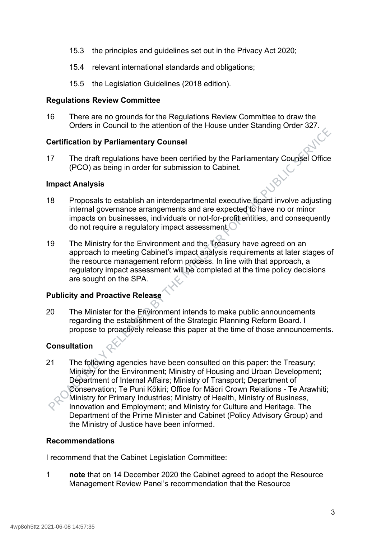- 15.3 the principles and guidelines set out in the Privacy Act 2020;
- 15.4 relevant international standards and obligations;
- 15.5 the Legislation Guidelines (2018 edition).

#### **Regulations Review Committee**

16 There are no grounds for the Regulations Review Committee to draw the Orders in Council to the attention of the House under Standing Order 327.

#### **Certification by Parliamentary Counsel**

17 The draft regulations have been certified by the Parliamentary Counsel Office (PCO) as being in order for submission to Cabinet.

#### **Impact Analysis**

- 18 Proposals to establish an interdepartmental executive board involve adjusting internal governance arrangements and are expected to have no or minor impacts on businesses, individuals or not-for-profit entities, and consequently do not require a regulatory impact assessment.
- 19 The Ministry for the Environment and the Treasury have agreed on an approach to meeting Cabinet's impact analysis requirements at later stages of the resource management reform process. In line with that approach, a regulatory impact assessment will be completed at the time policy decisions are sought on the SPA.

#### **Publicity and Proactive Release**

20 The Minister for the Environment intends to make public announcements regarding the establishment of the Strategic Planning Reform Board. I propose to proactively release this paper at the time of those announcements.

### **Consultation**

21 The following agencies have been consulted on this paper: the Treasury; Ministry for the Environment; Ministry of Housing and Urban Development; Department of Internal Affairs; Ministry of Transport; Department of Conservation; Te Puni Kōkiri; Office for Māori Crown Relations - Te Arawhiti; Ministry for Primary Industries; Ministry of Health, Ministry of Business, Innovation and Employment; and Ministry for Culture and Heritage. The Department of the Prime Minister and Cabinet (Policy Advisory Group) and the Ministry of Justice have been informed.

#### **Recommendations**

I recommend that the Cabinet Legislation Committee:

1 **note** that on 14 December 2020 the Cabinet agreed to adopt the Resource Management Review Panel's recommendation that the Resource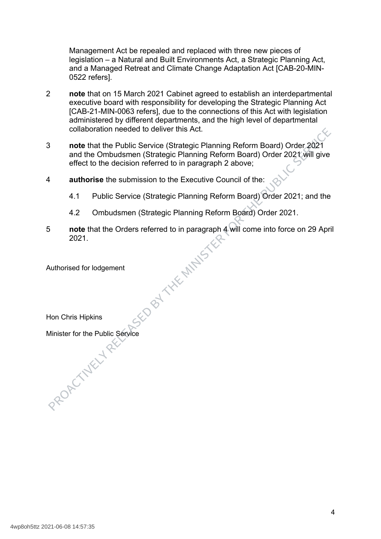Management Act be repealed and replaced with three new pieces of legislation – a Natural and Built Environments Act, a Strategic Planning Act, and a Managed Retreat and Climate Change Adaptation Act [CAB-20-MIN-0522 refers].

- 2 **note** that on 15 March 2021 Cabinet agreed to establish an interdepartmental executive board with responsibility for developing the Strategic Planning Act [CAB-21-MIN-0063 refers], due to the connections of this Act with legislation administered by different departments, and the high level of departmental collaboration needed to deliver this Act.
- 3 **note** that the Public Service (Strategic Planning Reform Board) Order 2021 and the Ombudsmen (Strategic Planning Reform Board) Order 2021 will give effect to the decision referred to in paragraph 2 above;
- 4 **authorise** the submission to the Executive Council of the:
	- 4.1 Public Service (Strategic Planning Reform Board) Order 2021; and the
	- 4.2 Ombudsmen (Strategic Planning Reform Board) Order 2021.
- 5 **note** that the Orders referred to in paragraph 4 will come into force on 29 April<br>2021.<br>Authorised for lodgement<br>Hon Chris Hinki-2021.

Authorised for lodgement

Hon Chris Hipkins

Minister for the Public Service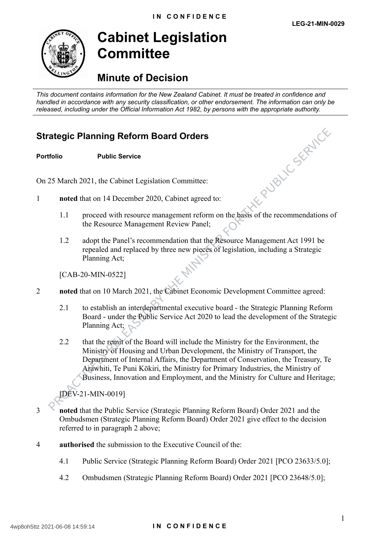

# **Cabinet Legislation Committee**

# **Minute of Decision**

*This document contains information for the New Zealand Cabinet. It must be treated in confidence and handled in accordance with any security classification, or other endorsement. The information can only be released, including under the Official Information Act 1982, by persons with the appropriate authority.*

# **Strategic Planning Reform Board Orders**

**Portfolio Public Service**

On 25 March 2021, the Cabinet Legislation Committee:

- 1 **noted** that on 14 December 2020, Cabinet agreed to:
- 1.1 proceed with resource management reform on the basis of the recommendations of the Resource Management Review Panel;
	- 1.2 adopt the Panel's recommendation that the Resource Management Act 1991 be repealed and replaced by three new pieces of legislation, including a Strategic Planning Act;

[CAB-20-MIN-0522]

- 2 **noted** that on 10 March 2021, the Cabinet Economic Development Committee agreed:
	- 2.1 to establish an interdepartmental executive board the Strategic Planning Reform Board - under the Public Service Act 2020 to lead the development of the Strategic Planning Act;
	- 2.2 that the remit of the Board will include the Ministry for the Environment, the Ministry of Housing and Urban Development, the Ministry of Transport, the Department of Internal Affairs, the Department of Conservation, the Treasury, Te Arawhiti, Te Puni Kōkiri, the Ministry for Primary Industries, the Ministry of Business, Innovation and Employment, and the Ministry for Culture and Heritage;

[DEV-21-MIN-0019]

- 3 **noted** that the Public Service (Strategic Planning Reform Board) Order 2021 and the Ombudsmen (Strategic Planning Reform Board) Order 2021 give effect to the decision referred to in paragraph 2 above;
- 4 **authorised** the submission to the Executive Council of the:
	- 4.1 Public Service (Strategic Planning Reform Board) Order 2021 [PCO 23633/5.0];
	- 4.2 Ombudsmen (Strategic Planning Reform Board) Order 2021 [PCO 23648/5.0];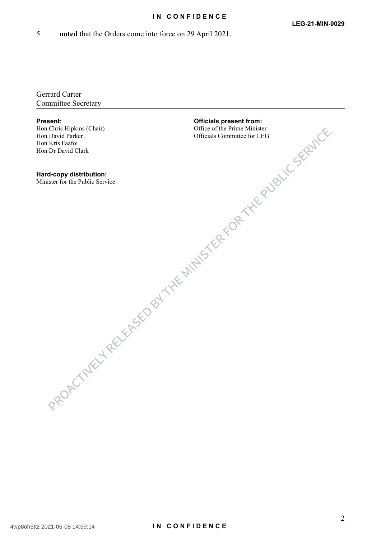#### **IN CONFIDENCE**

5 **noted** that the Orders come into force on 29 April 2021.

Gerrard Carter Committee Secretary

Hon Chris Hipkins (Chair) Hon David Parker<br>Hon Kris Faafoi Hon Kris Faafoi Hon Dr David Clark

**Hard-copy distribution:** Minister for the Public Service

**Present: Officials present from:** Office of the Prime Minister Officials Committee for LEG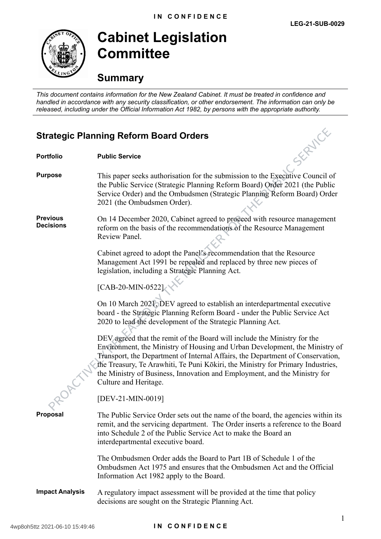

**Cabinet Legislation Committee**

# **Summary**

*This document contains information for the New Zealand Cabinet. It must be treated in confidence and handled in accordance with any security classification, or other endorsement. The information can only be released, including under the Official Information Act 1982, by persons with the appropriate authority.*

## **Strategic Planning Reform Board Orders**

| SERVICE<br><b>Strategic Planning Reform Board Orders</b> |                                                                                                                                                                                                                                                                                                                                                                                                                                    |
|----------------------------------------------------------|------------------------------------------------------------------------------------------------------------------------------------------------------------------------------------------------------------------------------------------------------------------------------------------------------------------------------------------------------------------------------------------------------------------------------------|
| <b>Portfolio</b>                                         | <b>Public Service</b>                                                                                                                                                                                                                                                                                                                                                                                                              |
| <b>Purpose</b>                                           | This paper seeks authorisation for the submission to the Executive Council of<br>the Public Service (Strategic Planning Reform Board) Order 2021 (the Public<br>Service Order) and the Ombudsmen (Strategic Planning Reform Board) Order<br>2021 (the Ombudsmen Order).                                                                                                                                                            |
| <b>Previous</b><br><b>Decisions</b>                      | On 14 December 2020, Cabinet agreed to proceed with resource management<br>reform on the basis of the recommendations of the Resource Management<br>Review Panel.                                                                                                                                                                                                                                                                  |
|                                                          | Cabinet agreed to adopt the Panel's recommendation that the Resource<br>Management Act 1991 be repealed and replaced by three new pieces of<br>legislation, including a Strategic Planning Act.                                                                                                                                                                                                                                    |
|                                                          | $[CAB-20-MIN-0522]$                                                                                                                                                                                                                                                                                                                                                                                                                |
|                                                          | On 10 March 2021, DEV agreed to establish an interdepartmental executive<br>board - the Strategic Planning Reform Board - under the Public Service Act<br>2020 to lead the development of the Strategic Planning Act.                                                                                                                                                                                                              |
|                                                          | DEV agreed that the remit of the Board will include the Ministry for the<br>Environment, the Ministry of Housing and Urban Development, the Ministry of<br>Transport, the Department of Internal Affairs, the Department of Conservation,<br>the Treasury, Te Arawhiti, Te Puni Kōkiri, the Ministry for Primary Industries,<br>the Ministry of Business, Innovation and Employment, and the Ministry for<br>Culture and Heritage. |
|                                                          | [DEV-21-MIN-0019]                                                                                                                                                                                                                                                                                                                                                                                                                  |
| <b>Proposal</b>                                          | The Public Service Order sets out the name of the board, the agencies within its<br>remit, and the servicing department. The Order inserts a reference to the Board<br>into Schedule 2 of the Public Service Act to make the Board an<br>interdepartmental executive board.                                                                                                                                                        |
|                                                          | The Ombudsmen Order adds the Board to Part 1B of Schedule 1 of the<br>Ombudsmen Act 1975 and ensures that the Ombudsmen Act and the Official<br>Information Act 1982 apply to the Board.                                                                                                                                                                                                                                           |
| <b>Impact Analysis</b>                                   | A regulatory impact assessment will be provided at the time that policy<br>decisions are sought on the Strategic Planning Act.                                                                                                                                                                                                                                                                                                     |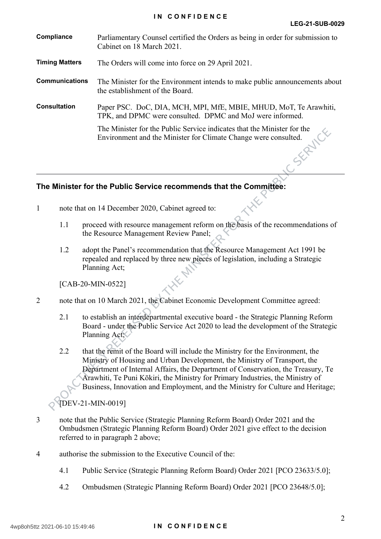| Compliance            | Parliamentary Counsel certified the Orders as being in order for submission to<br>Cabinet on 18 March 2021.                                |
|-----------------------|--------------------------------------------------------------------------------------------------------------------------------------------|
| <b>Timing Matters</b> | The Orders will come into force on 29 April 2021.                                                                                          |
| <b>Communications</b> | The Minister for the Environment intends to make public announcements about<br>the establishment of the Board.                             |
| <b>Consultation</b>   | Paper PSC. DoC, DIA, MCH, MPI, MfE, MBIE, MHUD, MoT, Te Arawhiti,<br>TPK, and DPMC were consulted. DPMC and MoJ were informed.             |
|                       | The Minister for the Public Service indicates that the Minister for the<br>Environment and the Minister for Climate Change were consulted. |
|                       |                                                                                                                                            |

#### **The Minister for the Public Service recommends that the Committee:**

- 1 note that on 14 December 2020, Cabinet agreed to:
	- 1.1 proceed with resource management reform on the basis of the recommendations of the Resource Management Review Panel;
	- 1.2 adopt the Panel's recommendation that the Resource Management Act 1991 be repealed and replaced by three new pieces of legislation, including a Strategic Planning Act;

[CAB-20-MIN-0522]

#### 2 note that on 10 March 2021, the Cabinet Economic Development Committee agreed:

- 2.1 to establish an interdepartmental executive board the Strategic Planning Reform Board - under the Public Service Act 2020 to lead the development of the Strategic Planning Act;
- 2.2 that the remit of the Board will include the Ministry for the Environment, the Ministry of Housing and Urban Development, the Ministry of Transport, the Department of Internal Affairs, the Department of Conservation, the Treasury, Te Arawhiti, Te Puni Kōkiri, the Ministry for Primary Industries, the Ministry of Business, Innovation and Employment, and the Ministry for Culture and Heritage;

[DEV-21-MIN-0019]

- 3 note that the Public Service (Strategic Planning Reform Board) Order 2021 and the Ombudsmen (Strategic Planning Reform Board) Order 2021 give effect to the decision referred to in paragraph 2 above;
- 4 authorise the submission to the Executive Council of the:
	- 4.1 Public Service (Strategic Planning Reform Board) Order 2021 [PCO 23633/5.0];
	- 4.2 Ombudsmen (Strategic Planning Reform Board) Order 2021 [PCO 23648/5.0];